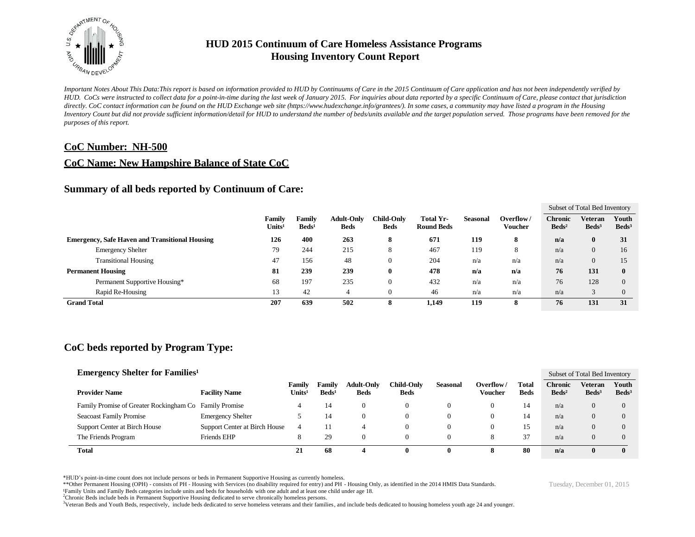

*Important Notes About This Data:This report is based on information provided to HUD by Continuums of Care in the 2015 Continuum of Care application and has not been independently verified by HUD. CoCs were instructed to collect data for a point-in-time during the last week of January 2015. For inquiries about data reported by a specific Continuum of Care, please contact that jurisdiction*  directly. CoC contact information can be found on the HUD Exchange web site (https://www.hudexchange.info/grantees/). In some cases, a community may have listed a program in the Housing *Inventory Count but did not provide sufficient information/detail for HUD to understand the number of beds/units available and the target population served. Those programs have been removed for the purposes of this report.*

#### **CoC Number: NH-500**

#### **CoC Name: New Hampshire Balance of State CoC**

#### **Summary of all beds reported by Continuum of Care:**

|                                                       |                                     |                           |                                  |                           |                                |          |                             |                                     | Subset of Total Bed Inventory     |                          |
|-------------------------------------------------------|-------------------------------------|---------------------------|----------------------------------|---------------------------|--------------------------------|----------|-----------------------------|-------------------------------------|-----------------------------------|--------------------------|
|                                                       | <b>Family</b><br>Units <sup>1</sup> | Family<br>$\text{Beds}^1$ | <b>Adult-Only</b><br><b>Beds</b> | Child-Onlv<br><b>Beds</b> | Total Yr-<br><b>Round Beds</b> | Seasonal | Overflow/<br><b>Voucher</b> | <b>Chronic</b><br>Beds <sup>2</sup> | <b>Veteran</b><br>$\text{Beds}^3$ | Youth<br>$\text{Beds}^3$ |
| <b>Emergency, Safe Haven and Transitional Housing</b> | 126                                 | 400                       | 263                              | 8                         | 671                            | 119      | 8                           | n/a                                 |                                   | 31                       |
| <b>Emergency Shelter</b>                              | 79                                  | 244                       | 215                              | 8                         | 467                            | 119      | 8                           | n/a                                 |                                   | 16                       |
| <b>Transitional Housing</b>                           | 47                                  | 156                       | 48                               | $\theta$                  | 204                            | n/a      | n/a                         | n/a                                 |                                   | 15                       |
| <b>Permanent Housing</b>                              | 81                                  | 239                       | 239                              | $\bf{0}$                  | 478                            | n/a      | n/a                         | 76                                  | 131                               | $\bf{0}$                 |
| Permanent Supportive Housing*                         | 68                                  | 197                       | 235                              | $\theta$                  | 432                            | n/a      | n/a                         | 76                                  | 128                               | $\Omega$                 |
| Rapid Re-Housing                                      | 13                                  | 42                        |                                  | $\theta$                  | 46                             | n/a      | n/a                         | n/a                                 |                                   | $\Omega$                 |
| <b>Grand Total</b>                                    | 207                                 | 639                       | 502                              | 8                         | 1,149                          | 119      | 8                           | 76                                  | 131                               | 31                       |

# **CoC beds reported by Program Type:**

| <b>Emergency Shelter for Families<sup>1</sup></b>      |                               |                              |                             |                                  |                                  |          |                      |                      |                                   | Subset of Total Bed Inventory     |                          |  |
|--------------------------------------------------------|-------------------------------|------------------------------|-----------------------------|----------------------------------|----------------------------------|----------|----------------------|----------------------|-----------------------------------|-----------------------------------|--------------------------|--|
| <b>Provider Name</b>                                   | <b>Facility Name</b>          | Family<br>Units <sup>1</sup> | Family<br>Beds <sup>1</sup> | <b>Adult-Only</b><br><b>Beds</b> | <b>Child-Only</b><br><b>Beds</b> | Seasonal | Overflow/<br>Voucher | Total<br><b>Beds</b> | <b>Chronic</b><br>$\text{Beds}^2$ | <b>Veteran</b><br>$\text{Beds}^3$ | Youth<br>$\text{Beds}^3$ |  |
| Family Promise of Greater Rockingham Co Family Promise |                               |                              | 14                          | 0                                | U                                | 0        | 0                    | 14                   | n/a                               |                                   |                          |  |
| <b>Seacoast Family Promise</b>                         | <b>Emergency Shelter</b>      |                              | 14                          | 0                                | v                                | 0        |                      | 14                   | n/a                               |                                   |                          |  |
| Support Center at Birch House                          | Support Center at Birch House | 4                            | 11                          |                                  |                                  | 0        |                      | 15                   | n/a                               |                                   |                          |  |
| The Friends Program                                    | Friends EHP                   | 8                            | 29                          | 0                                |                                  | 0        | 8                    | 37                   | n/a                               |                                   |                          |  |
| <b>Total</b>                                           |                               | 21                           | 68                          |                                  |                                  | 0        |                      | 80                   | n/a                               |                                   |                          |  |

\*HUD's point-in-time count does not include persons or beds in Permanent Supportive Housing as currently homeless.

\*\*Other Permanent Housing (OPH) - consists of PH - Housing with Services (no disability required for entry) and PH - Housing Only, as identified in the 2014 HMIS Data Standards.

¹Family Units and Family Beds categories include units and beds for households with one adult and at least one child under age 18.

<sup>2</sup>Chronic Beds include beds in Permanent Supportive Housing dedicated to serve chronically homeless persons.

<sup>3</sup>Veteran Beds and Youth Beds, respectively, include beds dedicated to serve homeless veterans and their families, and include beds dedicated to housing homeless youth age 24 and younger.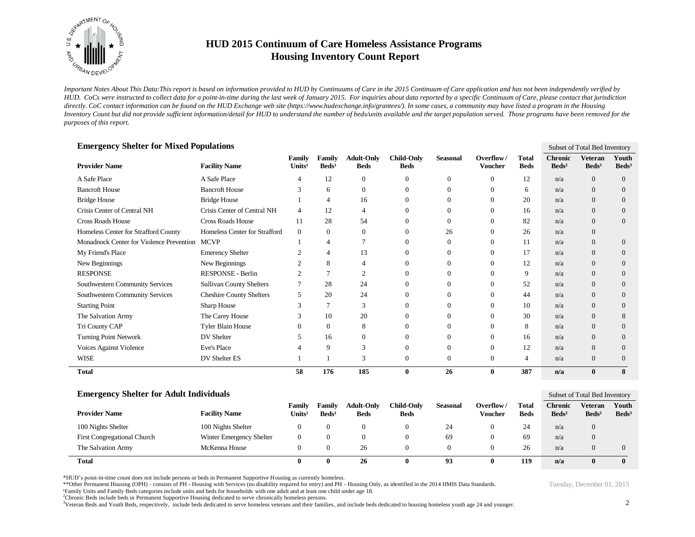

*Important Notes About This Data:This report is based on information provided to HUD by Continuums of Care in the 2015 Continuum of Care application and has not been independently verified by HUD. CoCs were instructed to collect data for a point-in-time during the last week of January 2015. For inquiries about data reported by a specific Continuum of Care, please contact that jurisdiction*  directly. CoC contact information can be found on the HUD Exchange web site (https://www.hudexchange.info/grantees/). In some cases, a community may have listed a program in the Housing *Inventory Count but did not provide sufficient information/detail for HUD to understand the number of beds/units available and the target population served. Those programs have been removed for the purposes of this report.*

| <b>Emergency Shelter for Mixed Populations</b> |                                 |                              |                           |                                  |                                  |                 |                             |                             |                                   | Subset of Total Bed Inventory       |                            |
|------------------------------------------------|---------------------------------|------------------------------|---------------------------|----------------------------------|----------------------------------|-----------------|-----------------------------|-----------------------------|-----------------------------------|-------------------------------------|----------------------------|
| <b>Provider Name</b>                           | <b>Facility Name</b>            | Family<br>Units <sup>1</sup> | Family<br>$\text{Beds}^1$ | <b>Adult-Only</b><br><b>Beds</b> | <b>Child-Only</b><br><b>Beds</b> | <b>Seasonal</b> | Overflow/<br><b>Voucher</b> | <b>Total</b><br><b>Beds</b> | <b>Chronic</b><br>$\text{Beds}^2$ | <b>Veteran</b><br>Beds <sup>3</sup> | Youth<br>Beds <sup>3</sup> |
| A Safe Place                                   | A Safe Place                    | 4                            | 12                        | $\overline{0}$                   | $\Omega$                         | 0               | $\Omega$                    | 12                          | n/a                               | $\Omega$                            | $\overline{0}$             |
| <b>Bancroft House</b>                          | <b>Bancroft House</b>           | $\mathbf{3}$                 | 6                         | $\overline{0}$                   | $\Omega$                         | 0               | $\Omega$                    | 6                           | n/a                               | $\theta$                            | $\overline{0}$             |
| <b>Bridge House</b>                            | <b>Bridge House</b>             |                              |                           | 16                               | $\Omega$                         | 0               | 0                           | 20                          | n/a                               | $\Omega$                            | $\overline{0}$             |
| Crisis Center of Central NH                    | Crisis Center of Central NH     | 4                            | 12                        | $\overline{4}$                   | $\Omega$                         | 0               | 0                           | 16                          | n/a                               | $\Omega$                            | $\overline{0}$             |
| <b>Cross Roads House</b>                       | <b>Cross Roads House</b>        | 11                           | 28                        | 54                               | $\Omega$                         | 0               | $\Omega$                    | 82                          | n/a                               | $\Omega$                            | $\overline{0}$             |
| Homeless Center for Strafford County           | Homeless Center for Strafford   | $\mathbf{0}$                 | $\Omega$                  | $\theta$                         | $\Omega$                         | 26              | $\Omega$                    | 26                          | n/a                               | $\Omega$                            |                            |
| Monadnock Center for Violence Prevention       | <b>MCVP</b>                     |                              |                           |                                  | $\Omega$                         | $\Omega$        | $\Omega$                    | 11                          | n/a                               | $\overline{0}$                      | $\overline{0}$             |
| My Friend's Place                              | <b>Emerency Shelter</b>         |                              |                           | 13                               |                                  | 0               | $\Omega$                    | 17                          | n/a                               | $\Omega$                            | $\Omega$                   |
| New Beginnings                                 | New Beginnings                  |                              | 8                         | $\overline{4}$                   | $\Omega$                         | 0               | $\Omega$                    | 12                          | n/a                               | $\Omega$                            | $\overline{0}$             |
| <b>RESPONSE</b>                                | RESPONSE - Berlin               |                              |                           | $\overline{c}$                   |                                  | 0               |                             | 9                           | n/a                               | $\Omega$                            | $\Omega$                   |
| Southwestern Community Services                | <b>Sullivan County Shelters</b> |                              | 28                        | 24                               |                                  | 0               | $\Omega$                    | 52                          | n/a                               | $\theta$                            | $\overline{0}$             |
| Southwestern Community Services                | <b>Cheshire County Shelters</b> | 5                            | 20                        | 24                               | $\Omega$                         | 0               | $\Omega$                    | 44                          | n/a                               | $\Omega$                            | $\Omega$                   |
| <b>Starting Point</b>                          | Sharp House                     |                              |                           | 3                                |                                  | 0               |                             | 10                          | n/a                               | $\overline{0}$                      | $\overline{0}$             |
| The Salvation Army                             | The Carey House                 | 3                            | 10                        | 20                               | $\Omega$                         | 0               | $\Omega$                    | 30                          | n/a                               | $\Omega$                            | 8                          |
| Tri County CAP                                 | <b>Tyler Blain House</b>        | 0                            | $\Omega$                  | 8                                | $\Omega$                         | Ω               |                             | 8                           | n/a                               | $\Omega$                            | $\Omega$                   |
| <b>Turning Point Network</b>                   | DV Shelter                      | 5                            | 16                        | $\boldsymbol{0}$                 |                                  |                 | $\Omega$                    | 16                          | n/a                               | $\Omega$                            | $\Omega$                   |
| Voices Against Violence                        | Eve's Place                     |                              | 9                         | 3                                | $\Omega$                         | 0               | $\Omega$                    | 12                          | n/a                               | $\Omega$                            | $\overline{0}$             |
| <b>WISE</b>                                    | DV Shelter ES                   |                              |                           | $\mathcal{R}$                    | $\Omega$                         | 0               | $\Omega$                    | $\overline{4}$              | n/a                               | $\overline{0}$                      | $\Omega$                   |
| <b>Total</b>                                   |                                 | 58                           | 176                       | 185                              | $\bf{0}$                         | 26              | $\bf{0}$                    | 387                         | n/a                               | $\bf{0}$                            | 8                          |

| <b>Emergency Shelter for Adult Individuals</b> |                          |                              |                                  |                                  |                           |          |                      | Subset of Total Bed Inventory |                            |                                   |                            |
|------------------------------------------------|--------------------------|------------------------------|----------------------------------|----------------------------------|---------------------------|----------|----------------------|-------------------------------|----------------------------|-----------------------------------|----------------------------|
| <b>Provider Name</b>                           | <b>Facility Name</b>     | Familv<br>Units <sup>1</sup> | <b>Family</b><br>$\text{Beds}^1$ | <b>Adult-Only</b><br><b>Beds</b> | Child-Only<br><b>Beds</b> | Seasonal | Overflow/<br>Voucher | <b>Total</b><br><b>Beds</b>   | Chronic<br>$\text{Beds}^2$ | <b>Veteran</b><br>$\text{Beds}^3$ | Youth<br>Beds <sup>3</sup> |
| 100 Nights Shelter                             | 100 Nights Shelter       |                              |                                  |                                  |                           | 24       |                      | 24                            | n/a                        | 0                                 |                            |
| <b>First Congregational Church</b>             | Winter Emergency Shelter |                              |                                  |                                  |                           | 69       |                      | 69                            | n/a                        | U                                 |                            |
| The Salvation Army                             | McKenna House            | 0                            |                                  | 26                               |                           |          | $^{(1)}$             | 26                            | n/a                        | U                                 | $\theta$                   |
| Total                                          |                          |                              |                                  | 26                               |                           | 93       |                      | 119                           | n/a                        | $\mathbf 0$                       |                            |

\*HUD's point-in-time count does not include persons or beds in Permanent Supportive Housing as currently homeless.

\*\*Other Permanent Housing (OPH) - consists of PH - Housing with Services (no disability required for entry) and PH - Housing Only, as identified in the 2014 HMIS Data Standards.

¹Family Units and Family Beds categories include units and beds for households with one adult and at least one child under age 18.

<sup>2</sup>Chronic Beds include beds in Permanent Supportive Housing dedicated to serve chronically homeless persons.

<sup>3</sup>Veteran Beds and Youth Beds, respectively, include beds dedicated to serve homeless veterans and their families, and include beds dedicated to housing homeless youth age 24 and younger.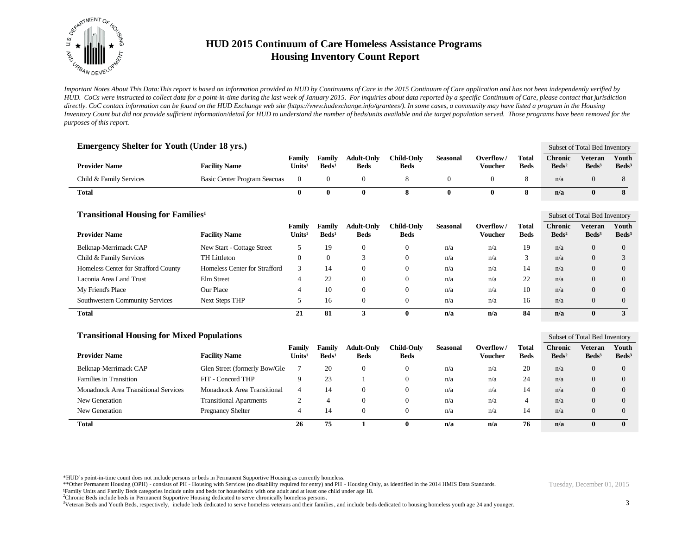

*Important Notes About This Data:This report is based on information provided to HUD by Continuums of Care in the 2015 Continuum of Care application and has not been independently verified by HUD. CoCs were instructed to collect data for a point-in-time during the last week of January 2015. For inquiries about data reported by a specific Continuum of Care, please contact that jurisdiction*  directly. CoC contact information can be found on the HUD Exchange web site (https://www.hudexchange.info/grantees/). In some cases, a community may have listed a program in the Housing *Inventory Count but did not provide sufficient information/detail for HUD to understand the number of beds/units available and the target population served. Those programs have been removed for the purposes of this report.*

| <b>Emergency Shelter for Youth (Under 18 yrs.)</b>   |                                |                              |                           |                                  |                                  |                 |                             |                             |                                   | Subset of Total Bed Inventory       |                            |
|------------------------------------------------------|--------------------------------|------------------------------|---------------------------|----------------------------------|----------------------------------|-----------------|-----------------------------|-----------------------------|-----------------------------------|-------------------------------------|----------------------------|
| <b>Provider Name</b>                                 | <b>Facility Name</b>           | Family<br>Units <sup>1</sup> | Family<br>$\text{Beds}^1$ | <b>Adult-Only</b><br><b>Beds</b> | <b>Child-Only</b><br><b>Beds</b> | <b>Seasonal</b> | Overflow/<br><b>Voucher</b> | <b>Total</b><br><b>Beds</b> | <b>Chronic</b><br>$\text{Beds}^2$ | <b>Veteran</b><br>Beds <sup>3</sup> | Youth<br>Beds <sup>3</sup> |
| Child & Family Services                              | Basic Center Program Seacoas   | $\theta$                     | $\mathbf{0}$              | $\theta$                         | 8                                | $\mathbf{0}$    | $\overline{0}$              | 8                           | n/a                               | $\overline{0}$                      | 8                          |
| <b>Total</b>                                         |                                | $\bf{0}$                     | $\bf{0}$                  | $\bf{0}$                         | 8                                | $\bf{0}$        | $\bf{0}$                    | 8                           | n/a                               | $\bf{0}$                            | 8                          |
| <b>Transitional Housing for Families<sup>1</sup></b> |                                |                              |                           |                                  |                                  |                 |                             |                             |                                   | Subset of Total Bed Inventory       |                            |
| <b>Provider Name</b>                                 | <b>Facility Name</b>           | Family<br>Units <sup>1</sup> | Family<br>$\text{Beds}^1$ | <b>Adult-Only</b><br><b>Beds</b> | <b>Child-Only</b><br><b>Beds</b> | <b>Seasonal</b> | Overflow/<br><b>Voucher</b> | <b>Total</b><br><b>Beds</b> | <b>Chronic</b><br>$\text{Beds}^2$ | <b>Veteran</b><br>$\text{Beds}^3$   | Youth<br>$\text{Beds}^3$   |
| Belknap-Merrimack CAP                                | New Start - Cottage Street     | 5                            | 19                        | $\boldsymbol{0}$                 | $\boldsymbol{0}$                 | n/a             | n/a                         | 19                          | n/a                               | $\overline{0}$                      | $\boldsymbol{0}$           |
| Child & Family Services                              | <b>TH Littleton</b>            | $\mathbf{0}$                 | $\mathbf{0}$              | 3                                | $\overline{0}$                   | n/a             | n/a                         | 3                           | n/a                               | $\Omega$                            | 3                          |
| Homeless Center for Strafford County                 | Homeless Center for Strafford  | 3                            | 14                        | $\mathbf{0}$                     | $\overline{0}$                   | n/a             | n/a                         | 14                          | n/a                               | $\overline{0}$                      | $\overline{0}$             |
| Laconia Area Land Trust                              | Elm Street                     | $\overline{4}$               | 22                        | $\theta$                         | $\theta$                         | n/a             | n/a                         | 22                          | n/a                               | $\overline{0}$                      | $\overline{0}$             |
| My Friend's Place                                    | Our Place                      | $\overline{4}$               | 10                        | $\boldsymbol{0}$                 | $\boldsymbol{0}$                 | n/a             | n/a                         | 10                          | n/a                               | $\overline{0}$                      | $\overline{0}$             |
| Southwestern Community Services                      | <b>Next Steps THP</b>          | 5                            | 16                        | $\mathbf{0}$                     | $\overline{0}$                   | n/a             | n/a                         | 16                          | n/a                               | $\overline{0}$                      | $\overline{0}$             |
| <b>Total</b>                                         |                                | 21                           | 81                        | 3                                | $\bf{0}$                         | n/a             | n/a                         | 84                          | n/a                               | $\bf{0}$                            | $\mathbf{3}$               |
| <b>Transitional Housing for Mixed Populations</b>    |                                |                              |                           |                                  |                                  |                 |                             |                             |                                   | Subset of Total Bed Inventory       |                            |
| <b>Provider Name</b>                                 | <b>Facility Name</b>           | Family<br>Units <sup>1</sup> | Family<br>$\text{Beds}^1$ | <b>Adult-Only</b><br><b>Beds</b> | <b>Child-Only</b><br><b>Beds</b> | <b>Seasonal</b> | Overflow/<br><b>Voucher</b> | <b>Total</b><br><b>Beds</b> | <b>Chronic</b><br>$\text{Beds}^2$ | <b>Veteran</b><br>Beds <sup>3</sup> | Youth<br>Beds <sup>3</sup> |
| Belknap-Merrimack CAP                                | Glen Street (formerly Bow/Gle  | 7                            | 20                        | $\boldsymbol{0}$                 | $\boldsymbol{0}$                 | n/a             | n/a                         | 20                          | n/a                               | $\overline{0}$                      | $\overline{0}$             |
| Families in Transition                               | FIT - Concord THP              | 9                            | 23                        | $\overline{1}$                   | $\overline{0}$                   | n/a             | n/a                         | 24                          | n/a                               | $\Omega$                            | $\Omega$                   |
| <b>Monadnock Area Transitional Services</b>          | Monadnock Area Transitional    | $\overline{4}$               | 14                        | $\mathbf{0}$                     | $\boldsymbol{0}$                 | n/a             | n/a                         | 14                          | n/a                               | $\overline{0}$                      | $\overline{0}$             |
| New Generation                                       | <b>Transitional Apartments</b> | 2                            | $\overline{4}$            | $\overline{0}$                   | $\overline{0}$                   | n/a             | n/a                         | $\overline{4}$              | n/a                               | $\overline{0}$                      | $\overline{0}$             |
| New Generation                                       | Pregnancy Shelter              | $\overline{4}$               | 14                        | $\mathbf{0}$                     | $\overline{0}$                   | n/a             | n/a                         | 14                          | n/a                               | $\overline{0}$                      | $\overline{0}$             |
| <b>Total</b>                                         |                                | 26                           | 75                        | $\mathbf{1}$                     | $\mathbf{0}$                     | n/a             | n/a                         | 76                          | n/a                               | $\bf{0}$                            | $\bf{0}$                   |

\*HUD's point-in-time count does not include persons or beds in Permanent Supportive Housing as currently homeless.

\*\*Other Permanent Housing (OPH) - consists of PH - Housing with Services (no disability required for entry) and PH - Housing Only, as identified in the 2014 HMIS Data Standards.

<sup>2</sup>Chronic Beds include beds in Permanent Supportive Housing dedicated to serve chronically homeless persons.

<sup>3</sup>Veteran Beds and Youth Beds, respectively, include beds dedicated to serve homeless veterans and their families, and include beds dedicated to housing homeless youth age 24 and younger.

¹Family Units and Family Beds categories include units and beds for households with one adult and at least one child under age 18.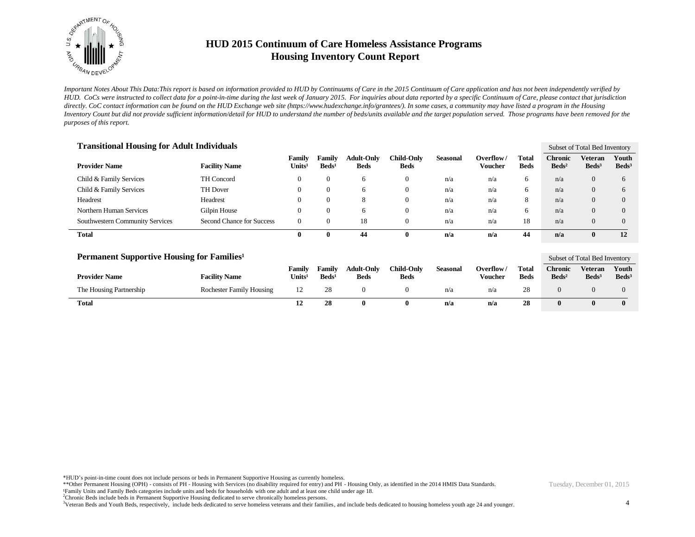

*Important Notes About This Data:This report is based on information provided to HUD by Continuums of Care in the 2015 Continuum of Care application and has not been independently verified by HUD. CoCs were instructed to collect data for a point-in-time during the last week of January 2015. For inquiries about data reported by a specific Continuum of Care, please contact that jurisdiction*  directly. CoC contact information can be found on the HUD Exchange web site (https://www.hudexchange.info/grantees/). In some cases, a community may have listed a program in the Housing *Inventory Count but did not provide sufficient information/detail for HUD to understand the number of beds/units available and the target population served. Those programs have been removed for the purposes of this report.*

| <b>Transitional Housing for Adult Individuals</b> |                           |                              |                           |                                  |                           |                 |                      |                      |                                   | Subset of Total Bed Inventory |                          |  |
|---------------------------------------------------|---------------------------|------------------------------|---------------------------|----------------------------------|---------------------------|-----------------|----------------------|----------------------|-----------------------------------|-------------------------------|--------------------------|--|
| <b>Provider Name</b>                              | <b>Facility Name</b>      | Family<br>Units <sup>1</sup> | Family<br>$\text{Beds}^1$ | <b>Adult-Only</b><br><b>Beds</b> | Child-Only<br><b>Beds</b> | <b>Seasonal</b> | Overflow/<br>Voucher | Total<br><b>Beds</b> | <b>Chronic</b><br>$\text{Beds}^2$ | Veteran<br>$\text{Beds}^3$    | Youth<br>$\text{Beds}^3$ |  |
| Child & Family Services                           | TH Concord                | $\mathbf{0}$                 |                           | 6                                | $\overline{0}$            | n/a             | n/a                  | 6                    | n/a                               | $\overline{0}$                | 6                        |  |
| Child & Family Services                           | TH Dover                  | $\mathbf{0}$                 |                           | 6                                | $\overline{0}$            | n/a             | n/a                  | 6                    | n/a                               | $\overline{0}$                | 6                        |  |
| Headrest                                          | Headrest                  | $\mathbf{0}$                 |                           | 8                                | $\overline{0}$            | n/a             | n/a                  | 8                    | n/a                               | $\Omega$                      | $\Omega$                 |  |
| Northern Human Services                           | Gilpin House              | $\mathbf{0}$                 |                           | 6                                | $\overline{0}$            | n/a             | n/a                  | 6                    | n/a                               | $\Omega$                      | $\Omega$                 |  |
| Southwestern Community Services                   | Second Chance for Success | $\overline{0}$               |                           | 18                               | $\theta$                  | n/a             | n/a                  | 18                   | n/a                               | $\theta$                      | $\Omega$                 |  |
| Total                                             |                           | 0                            | 0                         | 44                               | 0                         | n/a             | n/a                  | 44                   | n/a                               | 0                             | 12                       |  |

| <b>Permanent Supportive Housing for Families</b> <sup>1</sup> |                                 |                                       |                             |                                  |                           |          |                      |                      |                                     | Subset of Total Bed Inventory |                            |  |
|---------------------------------------------------------------|---------------------------------|---------------------------------------|-----------------------------|----------------------------------|---------------------------|----------|----------------------|----------------------|-------------------------------------|-------------------------------|----------------------------|--|
| <b>Provider Name</b>                                          | <b>Facility Name</b>            | Family<br>$\mathbf{v}_{\text{Inits}}$ | Family<br>Beds <sup>1</sup> | <b>Adult-Only</b><br><b>Beds</b> | Child-Onlv<br><b>Beds</b> | Seasonal | Overflow/<br>Voucher | Total<br><b>Beds</b> | <b>Chronic</b><br>Beds <sup>2</sup> | Veteran<br>Beds <sup>3</sup>  | Youth<br>Beds <sup>3</sup> |  |
| The Housing Partnership                                       | <b>Rochester Family Housing</b> | 12                                    | 28                          |                                  |                           | n/a      | n/a                  | 28                   |                                     |                               |                            |  |
| Total                                                         |                                 | 12                                    | 28                          |                                  |                           | n/a      | n/a                  | 28                   |                                     |                               | $\mathbf{0}$               |  |

\*HUD's point-in-time count does not include persons or beds in Permanent Supportive Housing as currently homeless.

\*\*Other Permanent Housing (OPH) - consists of PH - Housing with Services (no disability required for entry) and PH - Housing Only, as identified in the 2014 HMIS Data Standards. ¹Family Units and Family Beds categories include units and beds for households with one adult and at least one child under age 18.

<sup>2</sup>Chronic Beds include beds in Permanent Supportive Housing dedicated to serve chronically homeless persons.

<sup>3</sup>Veteran Beds and Youth Beds, respectively, include beds dedicated to serve homeless veterans and their families, and include beds dedicated to housing homeless youth age 24 and younger.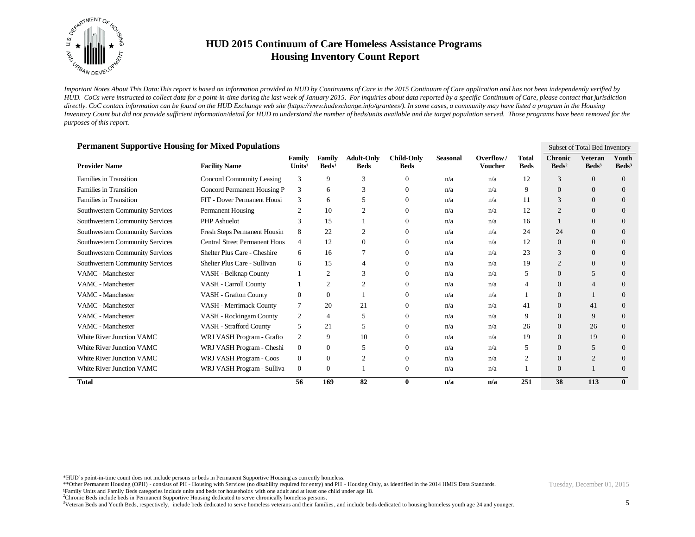

*Important Notes About This Data:This report is based on information provided to HUD by Continuums of Care in the 2015 Continuum of Care application and has not been independently verified by HUD. CoCs were instructed to collect data for a point-in-time during the last week of January 2015. For inquiries about data reported by a specific Continuum of Care, please contact that jurisdiction*  directly. CoC contact information can be found on the HUD Exchange web site (https://www.hudexchange.info/grantees/). In some cases, a community may have listed a program in the Housing *Inventory Count but did not provide sufficient information/detail for HUD to understand the number of beds/units available and the target population served. Those programs have been removed for the purposes of this report.*

| Permanent Supportive Housing for Mixed Populations<br>Subset of Total Bed Inventory |                                      |                              |                           |                                  |                                  |                 |                             |                      |                                   |                                     |                            |
|-------------------------------------------------------------------------------------|--------------------------------------|------------------------------|---------------------------|----------------------------------|----------------------------------|-----------------|-----------------------------|----------------------|-----------------------------------|-------------------------------------|----------------------------|
| <b>Provider Name</b>                                                                | <b>Facility Name</b>                 | Family<br>Units <sup>1</sup> | Family<br>$\text{Beds}^1$ | <b>Adult-Only</b><br><b>Beds</b> | <b>Child-Only</b><br><b>Beds</b> | <b>Seasonal</b> | Overflow/<br><b>Voucher</b> | Total<br><b>Beds</b> | <b>Chronic</b><br>$\text{Beds}^2$ | <b>Veteran</b><br>Beds <sup>3</sup> | Youth<br>Beds <sup>3</sup> |
| <b>Families in Transition</b>                                                       | <b>Concord Community Leasing</b>     | 3                            | 9                         | 3                                | $\Omega$                         | n/a             | n/a                         | 12                   | 3                                 | $\Omega$                            | $\Omega$                   |
| <b>Families in Transition</b>                                                       | Concord Permanent Housing P          | 3                            | 6                         | 3                                | $\Omega$                         | n/a             | n/a                         | 9                    | $\theta$                          | $\Omega$                            | $\overline{0}$             |
| Families in Transition                                                              | FIT - Dover Permanent Housi          | 3                            | 6                         | 5                                | $\Omega$                         | n/a             | n/a                         | 11                   | 3                                 | $\theta$                            | $\overline{0}$             |
| Southwestern Community Services                                                     | Permanent Housing                    | 2                            | 10                        | $\overline{c}$                   | $\Omega$                         | n/a             | n/a                         | 12                   | $\overline{2}$                    | $\Omega$                            | $\Omega$                   |
| Southwestern Community Services                                                     | PHP Ashuelot                         | 3                            | 15                        |                                  | $\Omega$                         | n/a             | n/a                         | 16                   |                                   | $\Omega$                            | $\Omega$                   |
| Southwestern Community Services                                                     | Fresh Steps Permanent Housin         | 8                            | 22                        | $\overline{c}$                   | $\Omega$                         | n/a             | n/a                         | 24                   | 24                                | $\theta$                            | $\overline{0}$             |
| Southwestern Community Services                                                     | <b>Central Street Permanent Hous</b> | 4                            | 12                        | $\overline{0}$                   | $\Omega$                         | n/a             | n/a                         | 12                   | $\theta$                          | $\Omega$                            | $\overline{0}$             |
| Southwestern Community Services                                                     | Shelter Plus Care - Cheshire         | 6                            | 16                        |                                  | $\Omega$                         | n/a             | n/a                         | 23                   | 3                                 | $\Omega$                            | $\Omega$                   |
| Southwestern Community Services                                                     | Shelter Plus Care - Sullivan         | 6                            | 15                        | $\overline{4}$                   | $\Omega$                         | n/a             | n/a                         | 19                   | $\overline{2}$                    | $\Omega$                            | $\Omega$                   |
| VAMC - Manchester                                                                   | VASH - Belknap County                |                              | 2                         | 3                                |                                  | n/a             | n/a                         | 5                    | $\overline{0}$                    | 5                                   | $\Omega$                   |
| <b>VAMC</b> - Manchester                                                            | VASH - Carroll County                |                              | 2                         | 2                                | $\Omega$                         | n/a             | n/a                         | 4                    | $\Omega$                          | 4                                   | $\Omega$                   |
| VAMC - Manchester                                                                   | VASH - Grafton County                | $\theta$                     | $\Omega$                  |                                  | $\Omega$                         | n/a             | n/a                         |                      | $\Omega$                          |                                     | $\Omega$                   |
| VAMC - Manchester                                                                   | VASH - Merrimack County              | 7                            | 20                        | 21                               | $\Omega$                         | n/a             | n/a                         | 41                   | $\overline{0}$                    | 41                                  | $\Omega$                   |
| VAMC - Manchester                                                                   | VASH - Rockingam County              | 2                            | 4                         | 5                                | $\Omega$                         | n/a             | n/a                         | 9                    | $\overline{0}$                    | 9                                   | $\overline{0}$             |
| VAMC - Manchester                                                                   | VASH - Strafford County              | 5                            | 21                        | 5                                | $\Omega$                         | n/a             | n/a                         | 26                   | $\theta$                          | 26                                  | $\overline{0}$             |
| <b>White River Junction VAMC</b>                                                    | WRJ VASH Program - Grafto            | 2                            | 9                         | 10                               | $\Omega$                         | n/a             | n/a                         | 19                   | $\theta$                          | 19                                  | $\Omega$                   |
| <b>White River Junction VAMC</b>                                                    | WRJ VASH Program - Cheshi            | $\boldsymbol{0}$             | $\Omega$                  | 5                                | $\Omega$                         | n/a             | n/a                         | 5                    | $\overline{0}$                    | 5                                   | $\Omega$                   |
| White River Junction VAMC                                                           | WRJ VASH Program - Coos              | $\mathbf{0}$                 | $\Omega$                  | 2                                | $\Omega$                         | n/a             | n/a                         | 2                    | $\Omega$                          | 2                                   | $\Omega$                   |
| <b>White River Junction VAMC</b>                                                    | WRJ VASH Program - Sulliva           | $\boldsymbol{0}$             | $\overline{0}$            |                                  | $\overline{0}$                   | n/a             | n/a                         |                      | $\mathbf{0}$                      |                                     | $\Omega$                   |
| <b>Total</b>                                                                        |                                      | 56                           | 169                       | 82                               | $\bf{0}$                         | n/a             | n/a                         | 251                  | 38                                | 113                                 | $\mathbf{0}$               |

#### **Permanent Supportive Housing for Mixed Populations**

\*HUD's point-in-time count does not include persons or beds in Permanent Supportive Housing as currently homeless.

\*\*Other Permanent Housing (OPH) - consists of PH - Housing with Services (no disability required for entry) and PH - Housing Only, as identified in the 2014 HMIS Data Standards.

¹Family Units and Family Beds categories include units and beds for households with one adult and at least one child under age 18.

<sup>2</sup>Chronic Beds include beds in Permanent Supportive Housing dedicated to serve chronically homeless persons.

<sup>3</sup>Veteran Beds and Youth Beds, respectively, include beds dedicated to serve homeless veterans and their families, and include beds dedicated to housing homeless youth age 24 and younger.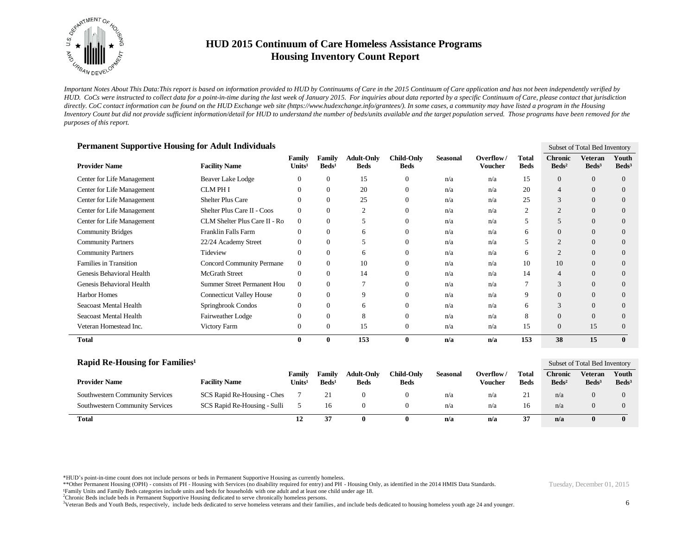

*Important Notes About This Data:This report is based on information provided to HUD by Continuums of Care in the 2015 Continuum of Care application and has not been independently verified by HUD. CoCs were instructed to collect data for a point-in-time during the last week of January 2015. For inquiries about data reported by a specific Continuum of Care, please contact that jurisdiction*  directly. CoC contact information can be found on the HUD Exchange web site (https://www.hudexchange.info/grantees/). In some cases, a community may have listed a program in the Housing *Inventory Count but did not provide sufficient information/detail for HUD to understand the number of beds/units available and the target population served. Those programs have been removed for the purposes of this report.*

| <b>Permanent Supportive Housing for Adult Individuals</b><br>Subset of Total Bed Inventory |                                  |                              |                           |                                  |                                  |                 |                             |                      |                                     |                                     |                          |  |  |
|--------------------------------------------------------------------------------------------|----------------------------------|------------------------------|---------------------------|----------------------------------|----------------------------------|-----------------|-----------------------------|----------------------|-------------------------------------|-------------------------------------|--------------------------|--|--|
| <b>Provider Name</b>                                                                       | <b>Facility Name</b>             | Family<br>Units <sup>1</sup> | Family<br>$\text{Beds}^1$ | <b>Adult-Only</b><br><b>Beds</b> | <b>Child-Only</b><br><b>Beds</b> | <b>Seasonal</b> | Overflow/<br><b>Voucher</b> | Total<br><b>Beds</b> | <b>Chronic</b><br>Beds <sup>2</sup> | <b>Veteran</b><br>Beds <sup>3</sup> | Youth<br>$\text{Beds}^3$ |  |  |
| Center for Life Management                                                                 | Beaver Lake Lodge                | $\theta$                     | 0                         | 15                               | $\boldsymbol{0}$                 | n/a             | n/a                         | 15                   | $\overline{0}$                      | $\theta$                            | $\theta$                 |  |  |
| Center for Life Management                                                                 | <b>CLM PH I</b>                  | $\Omega$                     | $\Omega$                  | 20                               | $\overline{0}$                   | n/a             | n/a                         | 20                   | $\overline{4}$                      | $\theta$                            | $\theta$                 |  |  |
| Center for Life Management                                                                 | <b>Shelter Plus Care</b>         | $\Omega$                     | $\Omega$                  | 25                               | $\overline{0}$                   | n/a             | n/a                         | 25                   | 3                                   | $\Omega$                            | $\Omega$                 |  |  |
| Center for Life Management                                                                 | Shelter Plus Care II - Coos      | $\mathbf{0}$                 | 0                         | $\overline{2}$                   | $\overline{0}$                   | n/a             | n/a                         | 2                    | $\overline{2}$                      | $\mathbf{0}$                        | $\theta$                 |  |  |
| Center for Life Management                                                                 | CLM Shelter Plus Care II - Ro    | $\overline{0}$               | $\mathbf{0}$              | 5                                | $\overline{0}$                   | n/a             | n/a                         | 5                    | 5                                   | $\Omega$                            | $\overline{0}$           |  |  |
| <b>Community Bridges</b>                                                                   | Franklin Falls Farm              | $\Omega$                     | $\mathbf{0}$              | 6                                | $\overline{0}$                   | n/a             | n/a                         | 6                    | $\overline{0}$                      | $\mathbf{0}$                        | $\theta$                 |  |  |
| <b>Community Partners</b>                                                                  | 22/24 Academy Street             | 0                            | 0                         | 5                                | $\overline{0}$                   | n/a             | n/a                         | 5                    | $\overline{2}$                      | $\theta$                            | $\overline{0}$           |  |  |
| <b>Community Partners</b>                                                                  | Tideview                         | $\Omega$                     | 0                         | 6                                | $\overline{0}$                   | n/a             | n/a                         | 6                    | $\overline{2}$                      | $\theta$                            | $\theta$                 |  |  |
| <b>Families in Transition</b>                                                              | <b>Concord Community Permane</b> | $\mathbf{0}$                 | $\Omega$                  | 10                               | $\Omega$                         | n/a             | n/a                         | 10                   | 10                                  | $\Omega$                            | $\Omega$                 |  |  |
| Genesis Behavioral Health                                                                  | McGrath Street                   | $\overline{0}$               | $\mathbf{0}$              | 14                               | $\overline{0}$                   | n/a             | n/a                         | 14                   | $\overline{4}$                      | $\mathbf{0}$                        | $\theta$                 |  |  |
| Genesis Behavioral Health                                                                  | Summer Street Permanent Hou      | $\overline{0}$               | $\mathbf{0}$              |                                  | $\overline{0}$                   | n/a             | n/a                         |                      | 3                                   | $\Omega$                            | $\Omega$                 |  |  |
| Harbor Homes                                                                               | <b>Connecticut Valley House</b>  | $\overline{0}$               | $\Omega$                  | 9                                | $\overline{0}$                   | n/a             | n/a                         | 9                    | $\Omega$                            | $\Omega$                            | $\Omega$                 |  |  |
| Seacoast Mental Health                                                                     | Springbrook Condos               | $\overline{0}$               | 0                         | 6                                | $\overline{0}$                   | n/a             | n/a                         | 6                    | 3                                   | $\mathbf{0}$                        | $\overline{0}$           |  |  |
| Seacoast Mental Health                                                                     | Fairweather Lodge                | $\Omega$                     | $\Omega$                  | 8                                | $\Omega$                         | n/a             | n/a                         | 8                    | $\Omega$                            | $\Omega$                            | $\Omega$                 |  |  |
| Veteran Homestead Inc.                                                                     | Victory Farm                     | $\theta$                     | $\mathbf{0}$              | 15                               | $\overline{0}$                   | n/a             | n/a                         | 15                   | $\overline{0}$                      | 15                                  | $\theta$                 |  |  |
| <b>Total</b>                                                                               |                                  | $\bf{0}$                     | $\bf{0}$                  | 153                              | $\bf{0}$                         | n/a             | n/a                         | 153                  | 38                                  | 15                                  | $\mathbf{0}$             |  |  |
|                                                                                            |                                  |                              |                           |                                  |                                  |                 |                             |                      |                                     |                                     |                          |  |  |

| Rapid Re-Housing for Families <sup>1</sup> |                              |                                          |                             |                                  |                                  |          | Subset of Total Bed Inventory |                             |                                   |                                     |                          |
|--------------------------------------------|------------------------------|------------------------------------------|-----------------------------|----------------------------------|----------------------------------|----------|-------------------------------|-----------------------------|-----------------------------------|-------------------------------------|--------------------------|
| <b>Provider Name</b>                       | <b>Facility Name</b>         | Family<br>$\mathbf{I}$ nits <sup>1</sup> | Family<br>Beds <sup>1</sup> | <b>Adult-Only</b><br><b>Beds</b> | <b>Child-Only</b><br><b>Beds</b> | Seasonal | Overflow/<br>Voucher          | <b>Total</b><br><b>Beds</b> | <b>Chronic</b><br>$\text{Beds}^2$ | <b>Veteran</b><br>Beds <sup>3</sup> | Youth<br>$\text{Beds}^3$ |
| Southwestern Community Services            | SCS Rapid Re-Housing - Ches  |                                          |                             |                                  |                                  | n/a      | n/a                           | 21                          | n/a                               |                                     |                          |
| <b>Southwestern Community Services</b>     | SCS Rapid Re-Housing - Sulli |                                          | 16                          |                                  |                                  | n/a      | n/a                           | 16                          | n/a                               |                                     |                          |
| <b>Total</b>                               |                              |                                          |                             |                                  |                                  | n/a      | n/a                           | 37                          | n/a                               |                                     |                          |

\*HUD's point-in-time count does not include persons or beds in Permanent Supportive Housing as currently homeless.

\*\*Other Permanent Housing (OPH) - consists of PH - Housing with Services (no disability required for entry) and PH - Housing Only, as identified in the 2014 HMIS Data Standards.

<sup>2</sup>Chronic Beds include beds in Permanent Supportive Housing dedicated to serve chronically homeless persons.

<sup>3</sup>Veteran Beds and Youth Beds, respectively, include beds dedicated to serve homeless veterans and their families, and include beds dedicated to housing homeless youth age 24 and younger.

¹Family Units and Family Beds categories include units and beds for households with one adult and at least one child under age 18.